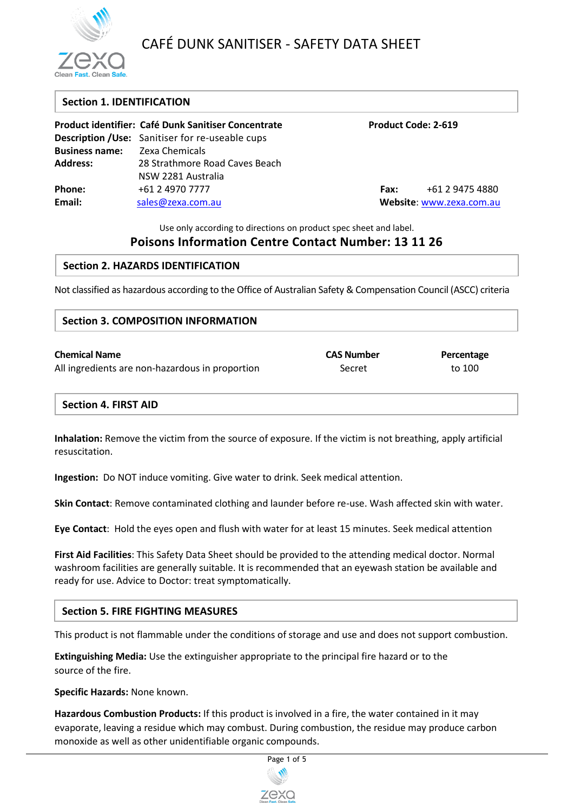

# CAFÉ DUNK SANITISER - SAFETY DATA SHEET

## **Section 1. IDENTIFICATION**

|                                      | Product identifier: Café Dunk Sanitiser Concentrate     |                          | <b>Product Code: 2-619</b> |
|--------------------------------------|---------------------------------------------------------|--------------------------|----------------------------|
|                                      | <b>Description / Use:</b> Sanitiser for re-useable cups |                          |                            |
| <b>Business name:</b> Zexa Chemicals |                                                         |                          |                            |
| <b>Address:</b>                      | 28 Strathmore Road Caves Beach                          |                          |                            |
|                                      | NSW 2281 Australia                                      |                          |                            |
| Phone:                               | +61 2 4970 7777                                         | Fax:                     | +61 2 9475 4880            |
| Email:                               | sales@zexa.com.au                                       | Website: www.zexa.com.au |                            |

Use only according to directions on product spec sheet and label.

## **Poisons Information Centre Contact Number: 13 11 26**

## **Section 2. HAZARDS IDENTIFICATION**

Not classified as hazardous according to the Office of Australian Safety & Compensation Council (ASCC) criteria

## **Section 3. COMPOSITION INFORMATION**

| <b>Chemical Name</b>                            | <b>CAS Number</b> | Percentage |
|-------------------------------------------------|-------------------|------------|
| All ingredients are non-hazardous in proportion | Secret            | to 100     |

## **Section 4. FIRST AID**

**Inhalation:** Remove the victim from the source of exposure. If the victim is not breathing, apply artificial resuscitation.

**Ingestion:** Do NOT induce vomiting. Give water to drink. Seek medical attention.

**Skin Contact**: Remove contaminated clothing and launder before re-use. Wash affected skin with water.

**Eye Contact**: Hold the eyes open and flush with water for at least 15 minutes. Seek medical attention

**First Aid Facilities**: This Safety Data Sheet should be provided to the attending medical doctor. Normal washroom facilities are generally suitable. It is recommended that an eyewash station be available and ready for use. Advice to Doctor: treat symptomatically.

## **Section 5. FIRE FIGHTING MEASURES**

This product is not flammable under the conditions of storage and use and does not support combustion.

**Extinguishing Media:** Use the extinguisher appropriate to the principal fire hazard or to the source of the fire.

**Specific Hazards:** None known.

**Hazardous Combustion Products:** If this product is involved in a fire, the water contained in it may evaporate, leaving a residue which may combust. During combustion, the residue may produce carbon monoxide as well as other unidentifiable organic compounds.

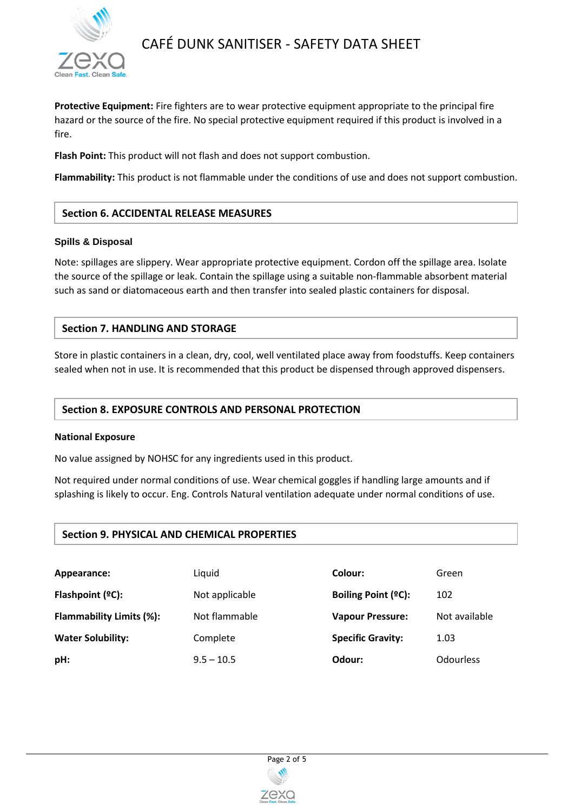

# CAFÉ DUNK SANITISER - SAFETY DATA SHEET

**Protective Equipment:** Fire fighters are to wear protective equipment appropriate to the principal fire hazard or the source of the fire. No special protective equipment required if this product is involved in a fire.

**Flash Point:** This product will not flash and does not support combustion.

**Flammability:** This product is not flammable under the conditions of use and does not support combustion.

## **Section 6. ACCIDENTAL RELEASE MEASURES**

#### **Spills & Disposal**

Note: spillages are slippery. Wear appropriate protective equipment. Cordon off the spillage area. Isolate the source of the spillage or leak. Contain the spillage using a suitable non-flammable absorbent material such as sand or diatomaceous earth and then transfer into sealed plastic containers for disposal.

## **Section 7. HANDLING AND STORAGE**

Store in plastic containers in a clean, dry, cool, well ventilated place away from foodstuffs. Keep containers sealed when not in use. It is recommended that this product be dispensed through approved dispensers.

## **Section 8. EXPOSURE CONTROLS AND PERSONAL PROTECTION**

#### **National Exposure**

No value assigned by NOHSC for any ingredients used in this product.

Not required under normal conditions of use. Wear chemical goggles if handling large amounts and if splashing is likely to occur. Eng. Controls Natural ventilation adequate under normal conditions of use.

## **Section 9. PHYSICAL AND CHEMICAL PROPERTIES**

| Appearance:                     | Liquid         | Colour:                    | Green            |
|---------------------------------|----------------|----------------------------|------------------|
| Flashpoint $(°C)$ :             | Not applicable | <b>Boiling Point (ºC):</b> | 102              |
| <b>Flammability Limits (%):</b> | Not flammable  | <b>Vapour Pressure:</b>    | Not available    |
| <b>Water Solubility:</b>        | Complete       | <b>Specific Gravity:</b>   | 1.03             |
| pH:                             | $9.5 - 10.5$   | Odour:                     | <b>Odourless</b> |

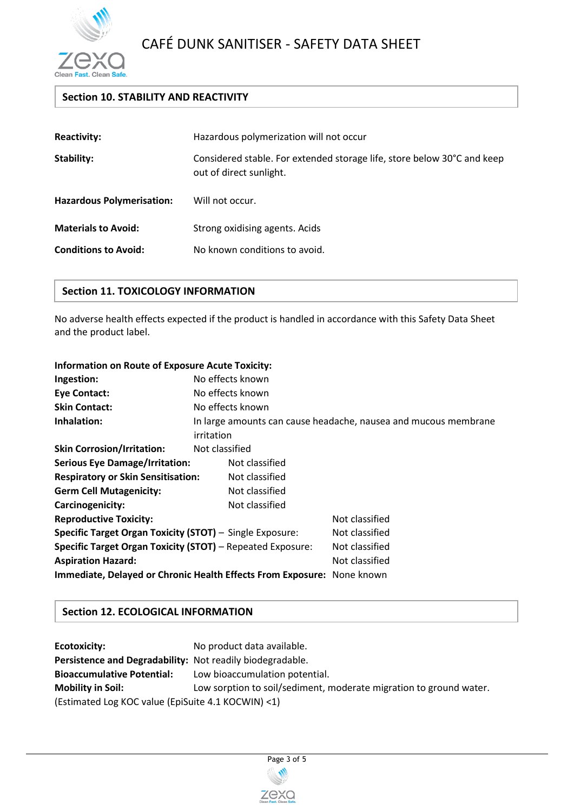

## **Section 10. STABILITY AND REACTIVITY**

| <b>Reactivity:</b>               | Hazardous polymerization will not occur                                                            |  |
|----------------------------------|----------------------------------------------------------------------------------------------------|--|
| Stability:                       | Considered stable. For extended storage life, store below 30°C and keep<br>out of direct sunlight. |  |
| <b>Hazardous Polymerisation:</b> | Will not occur.                                                                                    |  |
| <b>Materials to Avoid:</b>       | Strong oxidising agents. Acids                                                                     |  |
| <b>Conditions to Avoid:</b>      | No known conditions to avoid.                                                                      |  |

## **Section 11. TOXICOLOGY INFORMATION**

No adverse health effects expected if the product is handled in accordance with this Safety Data Sheet and the product label.

| <b>Information on Route of Exposure Acute Toxicity:</b>                |                  |                |                                                                 |
|------------------------------------------------------------------------|------------------|----------------|-----------------------------------------------------------------|
| Ingestion:                                                             | No effects known |                |                                                                 |
| <b>Eye Contact:</b>                                                    | No effects known |                |                                                                 |
| <b>Skin Contact:</b>                                                   | No effects known |                |                                                                 |
| Inhalation:                                                            | irritation       |                | In large amounts can cause headache, nausea and mucous membrane |
| <b>Skin Corrosion/Irritation:</b>                                      | Not classified   |                |                                                                 |
| <b>Serious Eye Damage/Irritation:</b>                                  |                  | Not classified |                                                                 |
| <b>Respiratory or Skin Sensitisation:</b>                              |                  | Not classified |                                                                 |
| <b>Germ Cell Mutagenicity:</b>                                         |                  | Not classified |                                                                 |
| Carcinogenicity:                                                       |                  | Not classified |                                                                 |
| <b>Reproductive Toxicity:</b>                                          |                  |                | Not classified                                                  |
| Specific Target Organ Toxicity (STOT) - Single Exposure:               |                  |                | Not classified                                                  |
| <b>Specific Target Organ Toxicity (STOT)</b> - Repeated Exposure:      |                  |                | Not classified                                                  |
| <b>Aspiration Hazard:</b>                                              |                  |                | Not classified                                                  |
| Immediate, Delayed or Chronic Health Effects From Exposure: None known |                  |                |                                                                 |

## **Section 12. ECOLOGICAL INFORMATION**

**Ecotoxicity:** No product data available. **Persistence and Degradability:** Not readily biodegradable. **Bioaccumulative Potential:** Low bioaccumulation potential. **Mobility in Soil:** Low sorption to soil/sediment, moderate migration to ground water. (Estimated Log KOC value (EpiSuite 4.1 KOCWIN) <1)

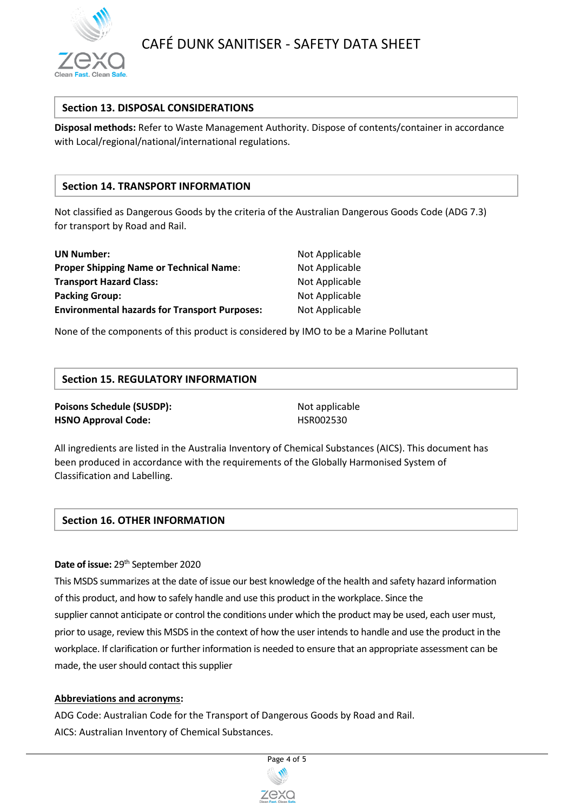

## **Section 13. DISPOSAL CONSIDERATIONS**

**Disposal methods:** Refer to Waste Management Authority. Dispose of contents/container in accordance with Local/regional/national/international regulations.

## **Section 14. TRANSPORT INFORMATION**

Not classified as Dangerous Goods by the criteria of the Australian Dangerous Goods Code (ADG 7.3) for transport by Road and Rail.

| <b>UN Number:</b>                                    | Not Applicable |
|------------------------------------------------------|----------------|
| <b>Proper Shipping Name or Technical Name:</b>       | Not Applicable |
| <b>Transport Hazard Class:</b>                       | Not Applicable |
| <b>Packing Group:</b>                                | Not Applicable |
| <b>Environmental hazards for Transport Purposes:</b> | Not Applicable |

None of the components of this product is considered by IMO to be a Marine Pollutant

## **Section 15. REGULATORY INFORMATION**

## **Poisons Schedule (SUSDP):** Not applicable **HSNO Approval Code:** HSR002530

All ingredients are listed in the Australia Inventory of Chemical Substances (AICS). This document has been produced in accordance with the requirements of the Globally Harmonised System of Classification and Labelling.

## **Section 16. OTHER INFORMATION**

## Date of issue: 29<sup>th</sup> September 2020

This MSDS summarizes at the date of issue our best knowledge of the health and safety hazard information of this product, and how to safely handle and use this product in the workplace. Since the supplier cannot anticipate or control the conditions under which the product may be used, each user must, prior to usage, review this MSDS in the context of how the user intends to handle and use the product in the workplace. If clarification or further information is needed to ensure that an appropriate assessment can be made, the user should contact this supplier

## **Abbreviations and acronyms:**

ADG Code: Australian Code for the Transport of Dangerous Goods by Road and Rail. AICS: Australian Inventory of Chemical Substances.